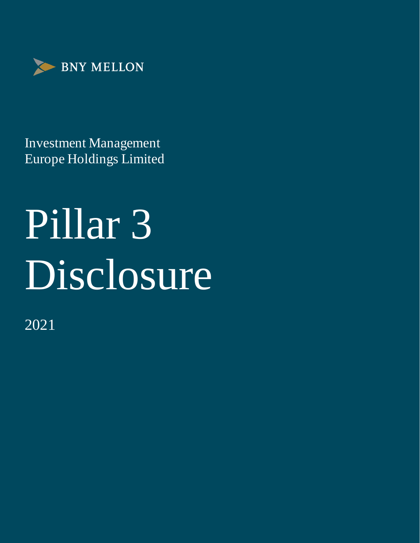

Investment Management Europe Holdings Limited

# Pillar 3 Disclosure

2021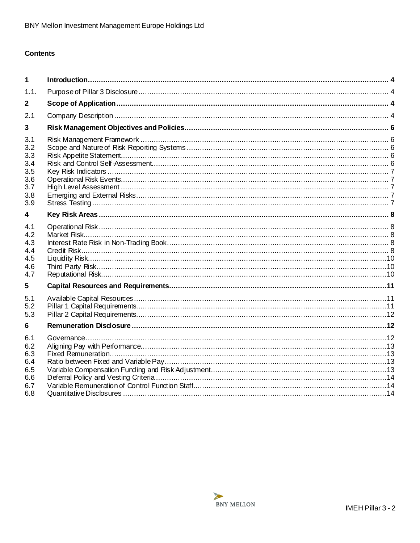# **Contents**

| 1                                                           |  |
|-------------------------------------------------------------|--|
| 1.1.                                                        |  |
| $\mathbf{2}$                                                |  |
| 2.1                                                         |  |
| 3                                                           |  |
| 3.1<br>3.2<br>3.3<br>3.4<br>3.5<br>3.6<br>3.7<br>3.8<br>3.9 |  |
| 4                                                           |  |
| 4.1<br>4.2<br>4.3<br>4.4<br>4.5<br>4.6<br>4.7               |  |
| 5                                                           |  |
| 5.1<br>5.2<br>5.3                                           |  |
| 6                                                           |  |
| 6.1<br>6.2<br>6.3<br>6.4<br>6.5<br>6.6<br>6.7               |  |
| 6.8                                                         |  |

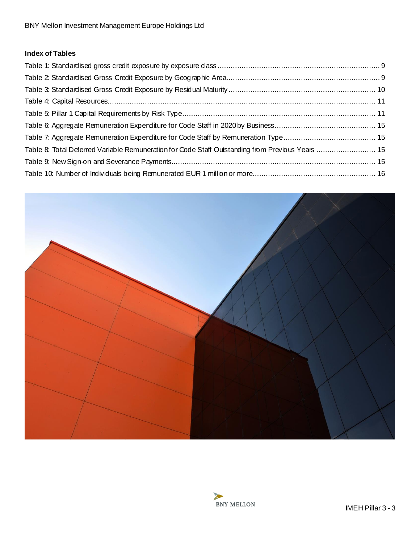# **Index of Tables**

| Table 8: Total Deferred Variable Remuneration for Code Staff Outstanding from Previous Years  15 |  |
|--------------------------------------------------------------------------------------------------|--|
|                                                                                                  |  |
|                                                                                                  |  |



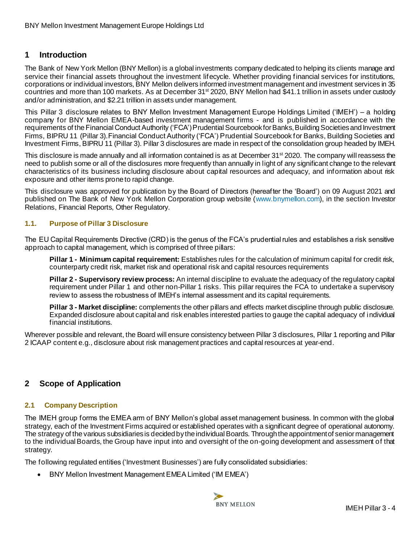# <span id="page-3-0"></span>**1 Introduction**

The Bank of New York Mellon (BNY Mellon) is a global investments company dedicated to helping its clients manage and service their financial assets throughout the investment lifecycle. Whether providing financial services for institutions, corporations or individual investors, BNY Mellon delivers informed investment management and investment services in 35 countries and more than 100 markets. As at December 31st 2020, BNY Mellon had \$41.1 trillion in assets under custody and/or administration, and \$2.21 trillion in assets under management.

This Pillar 3 disclosure relates to BNY Mellon Investment Management Europe Holdings Limited ('IMEH') – a holding company for BNY Mellon EMEA-based investment management firms - and is published in accordance with the requirements of the Financial Conduct Authority ('FCA') Prudential Sourcebook for Banks, Building Societies and Investment Firms, BIPRU 11 (Pillar 3).Financial Conduct Authority ('FCA') Prudential Sourcebook for Banks, Building Societies and Investment Firms, BIPRU 11 (Pillar 3). Pillar 3 disclosures are made in respect of the consolidation group headed by IMEH.

This disclosure is made annually and all information contained is as at December 31<sup>st</sup> 2020. The company will reassess the need to publish some or all of the disclosures more frequently than annually in light of any significant change to the relevant characteristics of its business including disclosure about capital resources and adequacy, and information about risk exposure and other items prone to rapid change.

This disclosure was approved for publication by the Board of Directors (hereafter the 'Board') on 09 August 2021 and published on The Bank of New York Mellon Corporation group website [\(www.bnymellon.com](http://www.bnymellon.com/investorrelations/filings/index.html)), in the section Investor Relations, Financial Reports, Other Regulatory.

#### <span id="page-3-1"></span>**1.1. Purpose of Pillar 3 Disclosure**

The EU Capital Requirements Directive (CRD) is the genus of the FCA's prudential rules and establishes a risk sensitive approach to capital management, which is comprised of three pillars:

**Pillar 1 - Minimum capital requirement:** Establishes rules for the calculation of minimum capital for credit risk, counterparty credit risk, market risk and operational risk and capital resources requirements

**Pillar 2 - Supervisory review process:** An internal discipline to evaluate the adequacy of the regulatory capital requirement under Pillar 1 and other non-Pillar 1 risks. This pillar requires the FCA to undertake a supervisory review to assess the robustness of IMEH's internal assessment and its capital requirements.

**Pillar 3 - Market discipline:** complements the other pillars and effects market discipline through public disclosure. Expanded disclosure about capital and risk enables interested parties to gauge the capital adequacy of individual financial institutions.

Wherever possible and relevant, the Board will ensure consistency between Pillar 3 disclosures, Pillar 1 reporting and Pillar 2 ICAAP content e.g., disclosure about risk management practices and capital resources at year-end.

# <span id="page-3-2"></span>**2 Scope of Application**

#### <span id="page-3-3"></span>**2.1 Company Description**

The IMEH group forms the EMEA arm of BNY Mellon's global asset management business. In common with the global strategy, each of the Investment Firms acquired or established operates with a significant degree of operational autonomy. The strategy of the various subsidiaries is decided by the individual Boards. Through the appointment of senior management to the individual Boards, the Group have input into and oversight of the on-going development and assessment of that strategy.

The following regulated entities ('Investment Businesses') are fully consolidated subsidiaries:

• BNY Mellon Investment Management EMEA Limited ('IM EMEA')

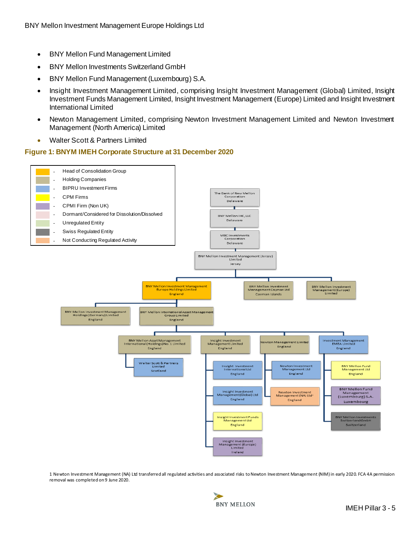- BNY Mellon Fund Management Limited
- BNY Mellon Investments Switzerland GmbH
- BNY Mellon Fund Management (Luxembourg) S.A.
- Insight Investment Management Limited, comprising Insight Investment Management (Global) Limited, Insight Investment Funds Management Limited, Insight Investment Management (Europe) Limited and Insight Investment International Limited
- Newton Management Limited, comprising Newton Investment Management Limited and Newton Investment Management (North America) Limited
- Walter Scott & Partners Limited

#### **Figure 1: BNYM IMEH Corporate Structure at 31 December 2020**



1 Newton Investment Management (NA) Ltd transferred all regulated activities and associated risks to Newton Investment Management (NIM) in early 2020. FCA 4A permission removal was completed on 9 June 2020.

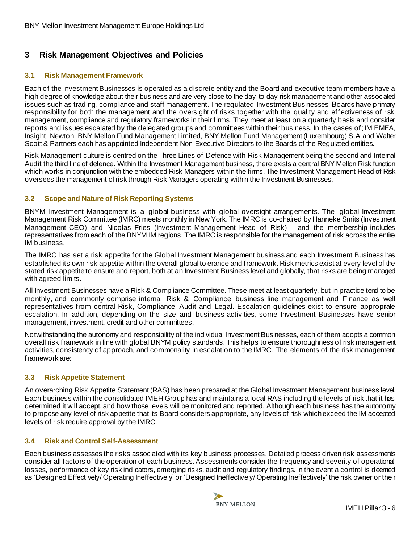# <span id="page-5-0"></span>**3 Risk Management Objectives and Policies**

## <span id="page-5-1"></span>**3.1 Risk Management Framework**

Each of the Investment Businesses is operated as a discrete entity and the Board and executive team members have a high degree of knowledge about their business and are very close to the day-to-day risk management and other associated issues such as trading, compliance and staff management. The regulated Investment Businesses' Boards have primary responsibility for both the management and the oversight of risks together with the quality and effectiveness of risk management, compliance and regulatory frameworks in their firms. They meet at least on a quarterly basis and consider reports and issues escalated by the delegated groups and committees within their business. In the cases of; IM EMEA, Insight, Newton, BNY Mellon Fund Management Limited, BNY Mellon Fund Management (Luxembourg) S.A and Walter Scott & Partners each has appointed Independent Non-Executive Directors to the Boards of the Regulated entities.

Risk Management culture is centred on the Three Lines of Defence with Risk Management being the second and Internal Audit the third line of defence. Within the Investment Management business, there exists a central BNY Mellon Risk function which works in conjunction with the embedded Risk Managers within the firms. The Investment Management Head of Risk oversees the management of risk through Risk Managers operating within the Investment Businesses.

## <span id="page-5-2"></span>**3.2 Scope and Nature of Risk Reporting Systems**

BNYM Investment Management is a global business with global oversight arrangements. The global Investment Management Risk Committee (IMRC) meets monthly in New York. The IMRC is co-chaired by Hanneke Smits (Investment Management CEO) and Nicolas Fries (Investment Management Head of Risk) - and the membership includes representatives from each of the BNYM IM regions. The IMRC is responsible for the management of risk across the entire IM business.

The IMRC has set a risk appetite for the Global Investment Management business and each Investment Business has established its own risk appetite within the overall global tolerance and framework. Risk metrics exist at every level of the stated risk appetite to ensure and report, both at an Investment Business level and globally, that risks are being managed with agreed limits.

All Investment Businesses have a Risk & Compliance Committee. These meet at least quarterly, but in practice tend to be monthly, and commonly comprise internal Risk & Compliance, business line management and Finance as well representatives from central Risk, Compliance, Audit and Legal. Escalation guidelines exist to ensure appropriate escalation. In addition, depending on the size and business activities, some Investment Businesses have senior management, investment, credit and other committees.

Notwithstanding the autonomy and responsibility of the individual Investment Businesses, each of them adopts a common overall risk framework in line with global BNYM policy standards. This helps to ensure thoroughness of risk management activities, consistency of approach, and commonality in escalation to the IMRC. The elements of the risk management framework are:

# <span id="page-5-3"></span>**3.3 Risk Appetite Statement**

An overarching Risk Appetite Statement (RAS) has been prepared at the Global Investment Management business level. Each business within the consolidated IMEH Group has and maintains a local RAS including the levels of risk that it has determined it will accept, and how those levels will be monitored and reported. Although each business has the autonomy to propose any level of risk appetite that its Board considers appropriate, any levels of risk which exceed the IM accepted levels of risk require approval by the IMRC.

#### <span id="page-5-4"></span>**3.4 Risk and Control Self-Assessment**

Each business assesses the risks associated with its key business processes. Detailed process driven risk assessments consider all factors of the operation of each business. Assessments consider the frequency and severity of operational losses, performance of key risk indicators, emerging risks, audit and regulatory findings. In the event a control is deemed as 'Designed Effectively/ Operating Ineffectively' or 'Designed Ineffectively/ Operating Ineffectively' the risk owner or their

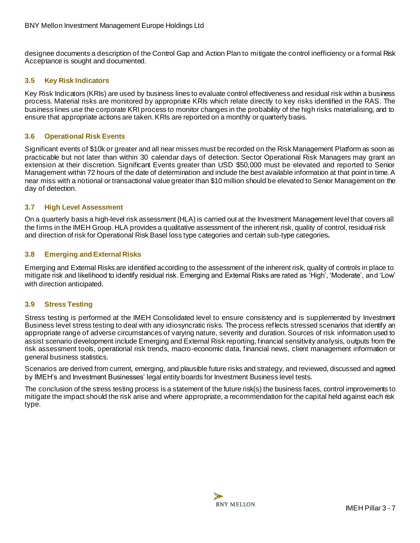designee documents a description of the Control Gap and Action Plan to mitigate the control inefficiency or a formal Risk Acceptance is sought and documented.

#### <span id="page-6-0"></span>**3.5 Key Risk Indicators**

Key Risk Indicators (KRIs) are used by business lines to evaluate control effectiveness and residual risk within a business process. Material risks are monitored by appropriate KRIs which relate directly to key risks identified in the RAS. The business lines use the corporate KRI process to monitor changes in the probability of the high risks materialising, and to ensure that appropriate actions are taken. KRIs are reported on a monthly or quarterly basis.

#### <span id="page-6-1"></span>**3.6 Operational Risk Events**

Significant events of \$10k or greater and all near misses must be recorded on the Risk Management Platform as soon as practicable but not later than within 30 calendar days of detection. Sector Operational Risk Managers may grant an extension at their discretion. Significant Events greater than USD \$50,000 must be elevated and reported to Senior Management within 72 hours of the date of determination and include the best available information at that point in time. A near miss with a notional or transactional value greater than \$10 million should be elevated to Senior Management on the day of detection.

#### <span id="page-6-2"></span>**3.7 High Level Assessment**

On a quarterly basis a high-level risk assessment (HLA) is carried out at the Investment Management level that covers all the firms in the IMEH Group. HLA provides a qualitative assessment of the inherent risk, quality of control, residual risk and direction of risk for Operational Risk Basel loss type categories and certain sub-type categories**.**

#### <span id="page-6-3"></span>**3.8 Emerging and External Risks**

Emerging and External Risks are identified according to the assessment of the inherent risk, quality of controls in place to mitigate risk and likelihood to identify residual risk. Emerging and External Risks are rated as 'High', 'Moderate', and 'Low' with direction anticipated.

#### <span id="page-6-4"></span>**3.9 Stress Testing**

Stress testing is performed at the IMEH Consolidated level to ensure consistency and is supplemented by Investment Business level stress testing to deal with any idiosyncratic risks. The process reflects stressed scenarios that identify an appropriate range of adverse circumstances of varying nature, severity and duration. Sources of risk information used to assist scenario development include Emerging and External Risk reporting, financial sensitivity analysis, outputs from the risk assessment tools, operational risk trends, macro-economic data, financial news, client management information or general business statistics.

Scenarios are derived from current, emerging, and plausible future risks and strategy, and reviewed, discussed and agreed by IMEH's and Investment Businesses' legal entity boards for Investment Business level tests.

The conclusion of the stress testing process is a statement of the future risk(s) the business faces, control improvements to mitigate the impact should the risk arise and where appropriate, a recommendation for the capital held against each risk type.

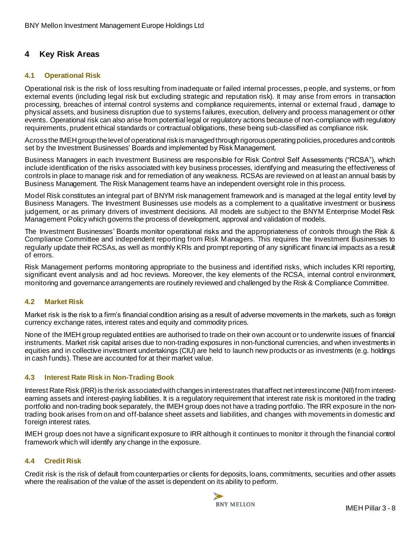# <span id="page-7-0"></span>**4 Key Risk Areas**

#### <span id="page-7-1"></span>**4.1 Operational Risk**

Operational risk is the risk of loss resulting from inadequate or failed internal processes, p eople, and systems, or from external events (including legal risk but excluding strategic and reputation risk). It may arise from errors in transaction processing, breaches of internal control systems and compliance requirements, internal or external fraud , damage to physical assets, and business disruption due to systems failures, execution, delivery and process management or other events. Operational risk can also arise from potential legal or regulatory actions because of non-compliance with regulatory requirements, prudent ethical standards or contractual obligations, these being sub-classified as compliance risk.

Across the IMEH group the level of operational risk is managed through rigorous operating policies, procedures and controls set by the Investment Businesses' Boards and implemented by Risk Management.

Business Managers in each Investment Business are responsible for Risk Control Self Assessments ("RCSA"), which include identification of the risks associated with key business processes, identifying and measuring the effectiveness of controls in place to manage risk and for remediation of any weakness. RCSAs are reviewed on at least an annual basis by Business Management. The Risk Management teams have an independent oversight role in this process.

Model Risk constitutes an integral part of BNYM risk management framework and is managed at the legal entity level by Business Managers. The Investment Businesses use models as a complement to a qualitative investment or business judgement, or as primary drivers of investment decisions. All models are subject to the BNYM Enterprise Model Risk Management Policy which governs the process of development, approval and validation of models.

The Investment Businesses' Boards monitor operational risks and the appropriateness of controls through the Risk & Compliance Committee and independent reporting from Risk Managers. This requires the Investment Businesses to regularly update their RCSAs, as well as monthly KRIs and prompt reporting of any significant financ ial impacts as a result of errors.

Risk Management performs monitoring appropriate to the business and identified risks, which includes KRI reporting, significant event analysis and ad hoc reviews. Moreover, the key elements of the RCSA, internal control environment, monitoring and governance arrangements are routinely reviewed and challenged by the Risk & Compliance Committee.

#### <span id="page-7-2"></span>**4.2 Market Risk**

Market risk is the risk to a firm's financial condition arising as a result of adverse movements in the markets, such as foreign currency exchange rates, interest rates and equity and commodity prices.

None of the IMEH group regulated entities are authorised to trade on their own account or to underwrite issues of financial instruments. Market risk capital arises due to non-trading exposures in non-functional currencies, and when investments in equities and in collective investment undertakings (CIU) are held to launch new products or as investments (e.g. holdings in cash funds). These are accounted for at their market value.

#### <span id="page-7-3"></span>**4.3 Interest Rate Risk in Non-Trading Book**

Interest Rate Risk (IRR) is the risk associated with changes in interest rates that affect net interest income (NII) from interestearning assets and interest-paying liabilities. It is a regulatory requirement that interest rate risk is monitored in the trading portfolio and non-trading book separately, the IMEH group does not have a trading portfolio. The IRR exposure in the nontrading book arises from on and off-balance sheet assets and liabilities, and changes with movements in domestic and foreign interest rates.

IMEH group does not have a significant exposure to IRR although it continues to monitor it through the financial control framework which will identify any change in the exposure.

#### <span id="page-7-4"></span>**4.4 Credit Risk**

Credit risk is the risk of default from counterparties or clients for deposits, loans, commitments, securities and other assets where the realisation of the value of the asset is dependent on its ability to perform.

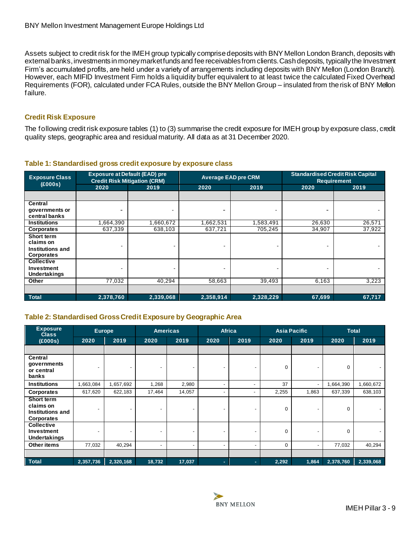Assets subject to credit risk for the IMEH group typically comprise deposits with BNY Mellon London Branch, deposits with external banks, investments in money market funds and fee receivables from clients. Cash deposits, typically the Investment Firm's accumulated profits, are held under a variety of arrangements including deposits with BNY Mellon (London Branch). However, each MIFID Investment Firm holds a liquidity buffer equivalent to at least twice the calculated Fixed Overhead Requirements (FOR), calculated under FCA Rules, outside the BNY Mellon Group – insulated from the risk of BNY Mellon failure.

## **Credit Risk Exposure**

The following credit risk exposure tables (1) to (3) summarise the credit exposure for IMEH group by exposure class, credit quality steps, geographic area and residual maturity. All data as at 31 December 2020.

| <b>Exposure Class</b><br>(E000s)                                 | <b>Exposure at Default (EAD) pre</b><br><b>Credit Risk Mitigation (CRM)</b> |           | <b>Average EAD pre CRM</b> |           | <b>Standardised Credit Risk Capital</b><br><b>Requirement</b> |        |
|------------------------------------------------------------------|-----------------------------------------------------------------------------|-----------|----------------------------|-----------|---------------------------------------------------------------|--------|
|                                                                  | 2020                                                                        | 2019      | 2020                       | 2019      | 2020                                                          | 2019   |
|                                                                  |                                                                             |           |                            |           |                                                               |        |
| Central<br>governments or<br>central banks                       |                                                                             |           |                            |           |                                                               |        |
| <b>Institutions</b>                                              | .664,390                                                                    | 1,660,672 | 1,662,531                  | 1,583,491 | 26,630                                                        | 26,571 |
| Corporates                                                       | 637,339                                                                     | 638,103   | 637,721                    | 705,245   | 34,907                                                        | 37,922 |
| <b>Short term</b><br>claims on<br>Institutions and<br>Corporates |                                                                             |           |                            |           |                                                               |        |
| <b>Collective</b><br>Investment<br>Undertakings                  |                                                                             |           |                            |           |                                                               |        |
| Other                                                            | 77,032                                                                      | 40,294    | 58,663                     | 39,493    | 6,163                                                         | 3,223  |
|                                                                  |                                                                             |           |                            |           |                                                               |        |
| <b>Total</b>                                                     | 2,378,760                                                                   | 2,339,068 | 2,358,914                  | 2,328,229 | 67,699                                                        | 67,717 |

#### <span id="page-8-0"></span>**Table 1: Standardised gross credit exposure by exposure class**

# <span id="page-8-1"></span>**Table 2: Standardised Gross Credit Exposure by Geographic Area**

| <b>Exposure</b><br><b>Class</b>                                         | <b>Europe</b>            |           |                          | <b>Americas</b> |                          | <b>Africa</b>            |             | <b>Asia Pacific</b> |           | <b>Total</b> |
|-------------------------------------------------------------------------|--------------------------|-----------|--------------------------|-----------------|--------------------------|--------------------------|-------------|---------------------|-----------|--------------|
| (E000s)                                                                 | 2020                     | 2019      | 2020                     | 2019            | 2020                     | 2019                     | 2020        | 2019                | 2020      | 2019         |
|                                                                         |                          |           |                          |                 |                          |                          |             |                     |           |              |
| Central<br>governments<br>or central<br>banks                           | $\blacksquare$           |           | $\overline{\phantom{0}}$ |                 |                          |                          | 0           |                     | 0         |              |
| <b>Institutions</b>                                                     | 1,663,084                | 1,657,692 | 1,268                    | 2,980           | $\overline{\phantom{0}}$ |                          | 37          |                     | 1,664,390 | 1,660,672    |
| Corporates                                                              | 617,620                  | 622,183   | 17,464                   | 14,057          | $\overline{\phantom{0}}$ | $\overline{\phantom{a}}$ | 2,255       | 1,863               | 637,339   | 638,103      |
| <b>Short term</b><br>claims on<br>Institutions and<br><b>Corporates</b> | -                        |           | $\overline{\phantom{0}}$ |                 | -                        | -                        | $\mathbf 0$ |                     | 0         |              |
| <b>Collective</b><br>Investment<br><b>Undertakings</b>                  | $\overline{\phantom{a}}$ |           | $\overline{\phantom{a}}$ |                 | $\overline{\phantom{0}}$ | $\overline{\phantom{a}}$ | 0           |                     | 0         |              |
| Other items                                                             | 77,032                   | 40,294    | $\overline{\phantom{a}}$ |                 | $\overline{\phantom{0}}$ | $\blacksquare$           | 0           |                     | 77,032    | 40,294       |
|                                                                         |                          |           |                          |                 |                          |                          |             |                     |           |              |
| <b>Total</b>                                                            | 2,357,736                | 2,320,168 | 18,732                   | 17,037          | $\sim$                   |                          | 2,292       | 1,864               | 2,378,760 | 2,339,068    |

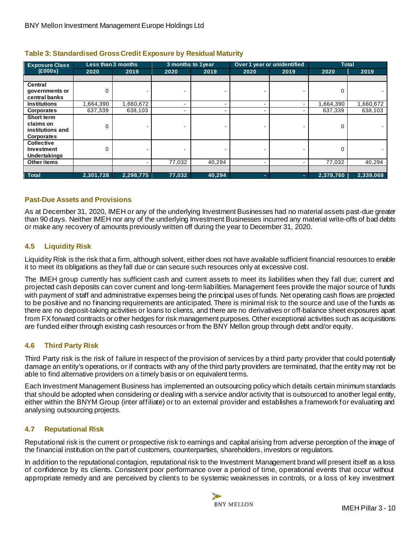| <b>Exposure Class</b> | Less than 3 months |           | 3 months to 1year |        | Over 1 year or unidentified |      | <b>Total</b> |           |
|-----------------------|--------------------|-----------|-------------------|--------|-----------------------------|------|--------------|-----------|
| (E000s)               | 2020               | 2019      | 2020              | 2019   | 2020                        | 2019 | 2020         | 2019      |
|                       |                    |           |                   |        |                             |      |              |           |
| Central               |                    |           |                   |        |                             |      |              |           |
| governments or        | $\Omega$           |           |                   |        |                             |      |              |           |
| central banks         |                    |           |                   |        |                             |      |              |           |
| <b>Institutions</b>   | .664,390           | 1,660,672 |                   |        |                             |      | 1,664,390    | 1,660,672 |
| <b>Corporates</b>     | 637,339            | 638,103   |                   |        |                             |      | 637,339      | 638,103   |
| Short term            |                    |           |                   |        |                             |      |              |           |
| claims on             | 0                  |           |                   |        |                             |      | 0            |           |
| institutions and      |                    |           |                   |        |                             |      |              |           |
| <b>Corporates</b>     |                    |           |                   |        |                             |      |              |           |
| <b>Collective</b>     |                    |           |                   |        |                             |      |              |           |
| Investment            | 0                  |           |                   |        |                             |      | 0            |           |
| <b>Undertakings</b>   |                    |           |                   |        |                             |      |              |           |
| Other items           |                    |           | 77,032            | 40,294 |                             |      | 77,032       | 40,294    |
|                       |                    |           |                   |        |                             |      |              |           |
| <b>Total</b>          | 2,301,728          | 2,298,775 | 77,032            | 40,294 |                             | -    | 2,378,760    | 2,339,068 |

#### <span id="page-9-3"></span>**Table 3: Standardised Gross Credit Exposure by Residual Maturity**

#### **Past-Due Assets and Provisions**

As at December 31, 2020, IMEH or any of the underlying Investment Businesses had no material assets past-due greater than 90 days. Neither IMEH nor any of the underlying Investment Businesses incurred any material write-offs of bad debts or make any recovery of amounts previously written off during the year to December 31, 2020.

#### <span id="page-9-0"></span>**4.5 Liquidity Risk**

Liquidity Risk is the risk that a firm, although solvent, either does not have available sufficient financial resources to enable it to meet its obligations as they fall due or can secure such resources only at excessive cost.

The IMEH group currently has sufficient cash and current assets to meet its liabilities when they fall due; current and projected cash deposits can cover current and long-term liabilities. Management fees provide the major source of funds with payment of staff and administrative expenses being the principal uses of funds. Net operating cash flows are projected to be positive and no financing requirements are anticipated. There is minimal risk to the source and use of the funds as there are no deposit-taking activities or loans to clients, and there are no derivatives or off-balance sheet exposures apart from FX forward contracts or other hedges for risk management purposes. Other exceptional activities such as acquisitions are funded either through existing cash resources or from the BNY Mellon group through debt and/or equity.

#### <span id="page-9-1"></span>**4.6 Third Party Risk**

Third Party risk is the risk of failure in respect of the provision of services by a third party provider that could potentially damage an entity's operations, or if contracts with any of the third party providers are terminated, that the entity may not be able to find alternative providers on a timely basis or on equivalent terms.

Each Investment Management Business has implemented an outsourcing policy which details certain minimum standards that should be adopted when considering or dealing with a service and/or activity that is outsourced to another legal entity, either within the BNYM Group (inter affiliate) or to an external provider and establishes a framework for evaluating and analysing outsourcing projects.

#### <span id="page-9-2"></span>**4.7 Reputational Risk**

Reputational risk is the current or prospective risk to earnings and capital arising from adverse perception of the image of the financial institution on the part of customers, counterparties, shareholders, investors or regulators.

In addition to the reputational contagion, reputational risk to the Investment Management brand will present itself as a loss of confidence by its clients. Consistent poor performance over a period of time, operational events that occur without appropriate remedy and are perceived by clients to be systemic weaknesses in controls, or a loss of key investment

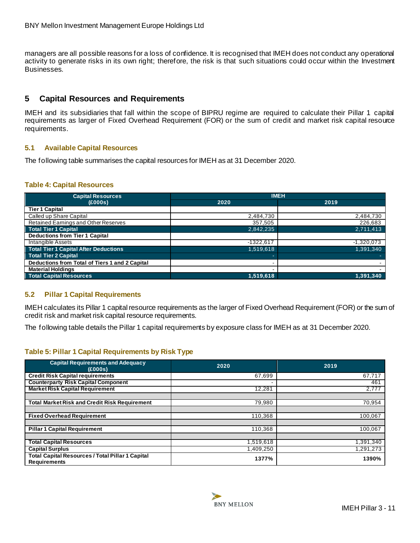managers are all possible reasons for a loss of confidence. It is recognised that IMEH does not conduct any operational activity to generate risks in its own right; therefore, the risk is that such situations could occur within the Investment Businesses.

# <span id="page-10-0"></span>**5 Capital Resources and Requirements**

IMEH and its subsidiaries that fall within the scope of BIPRU regime are required to calculate their Pillar 1 capital requirements as larger of Fixed Overhead Requirement (FOR) or the sum of credit and market risk capital resource requirements.

#### <span id="page-10-1"></span>**5.1 Available Capital Resources**

The following table summarises the capital resources for IMEH as at 31 December 2020.

#### <span id="page-10-3"></span>**Table 4: Capital Resources**

| <b>Capital Resources</b>                       | <b>IMEH</b> |              |  |  |
|------------------------------------------------|-------------|--------------|--|--|
| (E000s)                                        | 2020        | 2019         |  |  |
| <b>Tier 1 Capital</b>                          |             |              |  |  |
| Called up Share Capital                        | 2,484,730   | 2,484,730    |  |  |
| Retained Earnings and Other Reserves           | 357,505     | 226,683      |  |  |
| <b>Total Tier 1 Capital</b>                    | 2,842,235   | 2,711,413    |  |  |
| <b>Deductions from Tier 1 Capital</b>          |             |              |  |  |
| Intangible Assets                              | $-1322.617$ | $-1,320,073$ |  |  |
| <b>Total Tier 1 Capital After Deductions</b>   | 1,519,618   | 1.391.340    |  |  |
| <b>Total Tier 2 Capital</b>                    |             |              |  |  |
| Deductions from Total of Tiers 1 and 2 Capital |             |              |  |  |
| <b>Material Holdings</b>                       |             |              |  |  |
| <b>Total Capital Resources</b>                 | 1.519.618   | 1,391,340    |  |  |

#### <span id="page-10-2"></span>**5.2 Pillar 1 Capital Requirements**

IMEH calculates its Pillar 1 capital resource requirements as the larger of Fixed Overhead Requirement (FOR) or the sum of credit risk and market risk capital resource requirements.

The following table details the Pillar 1 capital requirements by exposure class for IMEH as at 31 December 2020.

#### <span id="page-10-4"></span>**Table 5: Pillar 1 Capital Requirements by Risk Type**

| <b>Capital Requirements and Adequacy</b><br>(E000s)                            | 2020      | 2019      |
|--------------------------------------------------------------------------------|-----------|-----------|
| <b>Credit Risk Capital requirements</b>                                        | 67,699    | 67,717    |
| <b>Counterparty Risk Capital Component</b>                                     |           | 461       |
| <b>Market Risk Capital Requirement</b>                                         | 12,281    | 2,777     |
|                                                                                |           |           |
| <b>Total Market Risk and Credit Risk Requirement</b>                           | 79,980    | 70,954    |
|                                                                                |           |           |
| <b>Fixed Overhead Requirement</b>                                              | 110,368   | 100,067   |
|                                                                                |           |           |
| <b>Pillar 1 Capital Requirement</b>                                            | 110.368   | 100,067   |
|                                                                                |           |           |
| <b>Total Capital Resources</b>                                                 | 1,519,618 | 1,391,340 |
| <b>Capital Surplus</b>                                                         | 1,409,250 | 1,291,273 |
| <b>Total Capital Resources / Total Pillar 1 Capital</b><br><b>Requirements</b> | 1377%     | 1390%     |

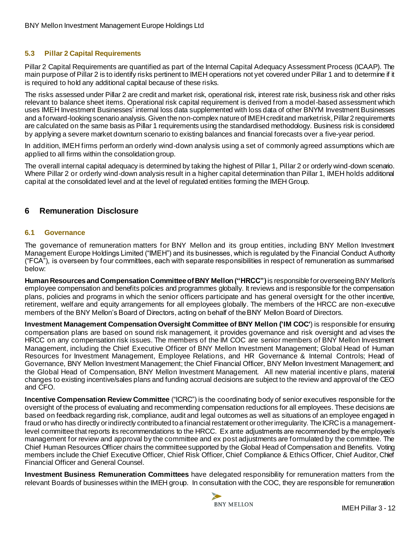#### <span id="page-11-0"></span>**5.3 Pillar 2 Capital Requirements**

Pillar 2 Capital Requirements are quantified as part of the Internal Capital Adequacy Assessment Process (ICAAP). The main purpose of Pillar 2 is to identify risks pertinent to IMEH operations not yet covered under Pillar 1 and to determine if it is required to hold any additional capital because of these risks.

The risks assessed under Pillar 2 are credit and market risk, operational risk, interest rate risk, business risk and other risks relevant to balance sheet items. Operational risk capital requirement is derived from a model-based assessment which uses IMEH Investment Businesses' internal loss data supplemented with loss data of other BNYM Investment Businesses and a forward-looking scenario analysis. Given the non-complex nature of IMEH credit and market risk, Pillar 2 requirements are calculated on the same basis as Pillar 1 requirements using the standardised methodology. Business risk is considered by applying a severe market downturn scenario to existing balances and financial forecasts over a five-year period.

In addition, IMEH firms perform an orderly wind-down analysis using a set of commonly agreed assumptions which are applied to all firms within the consolidation group.

The overall internal capital adequacy is determined by taking the highest of Pillar 1, Pillar 2 or orderly wind-down scenario. Where Pillar 2 or orderly wind-down analysis result in a higher capital determination than Pillar 1, IMEH holds additional capital at the consolidated level and at the level of regulated entities forming the IMEH Group.

# <span id="page-11-1"></span>**6 Remuneration Disclosure**

#### <span id="page-11-2"></span>**6.1 Governance**

The governance of remuneration matters for BNY Mellon and its group entities, including BNY Mellon Investment Management Europe Holdings Limited ("IMEH") and its businesses, which is regulated by the Financial Conduct Authority ("FCA"), is overseen by four committees, each with separate responsibilities in respect of remuneration as summarised below:

**Human Resources and Compensation Committee of BNY Mellon ("HRCC")**is responsible for overseeing BNYMellon's employee compensation and benefits policies and programmes globally. It reviews and is responsible for the compensation plans, policies and programs in which the senior officers participate and has general oversight for the other incentive, retirement, welfare and equity arrangements for all employees globally. The members of the HRCC are non-executive members of the BNY Mellon's Board of Directors, acting on behalf of the BNY Mellon Board of Directors.

**Investment Management Compensation Oversight Committee of BNY Mellon ('IM COC'**) is responsible for ensuring compensation plans are based on sound risk management, it provides governance and risk oversight and ad vises the HRCC on any compensation risk issues. The members of the IM COC are senior members of BNY Mellon Investment Management, including the Chief Executive Officer of BNY Mellon Investment Management; Global Head of Human Resources for Investment Management, Employee Relations, and HR Governance & Internal Controls; Head of Governance, BNY Mellon Investment Management; the Chief Financial Officer, BNY Mellon Investment Management; and the Global Head of Compensation, BNY Mellon Investment Management. All new material incentiv e plans, material changes to existing incentive/sales plans and funding accrual decisions are subject to the review and approval of the CEO and CFO.

**Incentive Compensation Review Committee** ("ICRC") is the coordinating body of senior executives responsible for the oversight of the process of evaluating and recommending compensation reductions for all employees. These decisions are based on feedback regarding risk, compliance, audit and legal outcomes as well as situations of an employee engaged in fraud orwho has directly or indirectly contributed to a financial restatement or other irregularity. The ICRC is a managementlevel committee that reports its recommendations to the HRCC. Ex ante adjustments are recommended by the employee's management for review and approval by the committee and ex post adjustments are formulated by the committee. The Chief Human Resources Officer chairs the committee supported by the Global Head of Compensation and Benefits. Voting members include the Chief Executive Officer, Chief Risk Officer, Chief Compliance & Ethics Officer, Chief Auditor, Chief Financial Officer and General Counsel.

**Investment Business Remuneration Committees** have delegated responsibility for remuneration matters from the relevant Boards of businesses within the IMEH group. In consultation with the COC, they are responsible for remuneration

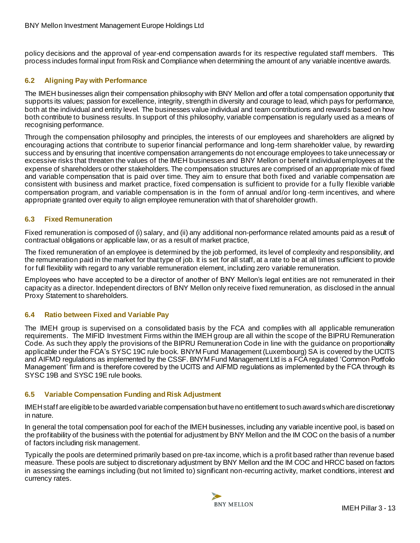policy decisions and the approval of year-end compensation awards for its respective regulated staff members. This process includes formal input from Risk and Compliance when determining the amount of any variable incentive awards.

#### <span id="page-12-0"></span>**6.2 Aligning Pay with Performance**

The IMEH businesses align their compensation philosophy with BNY Mellon and offer a total compensation opportunity that supports its values; passion for excellence, integrity, strength in diversity and courage to lead, which pays for performance, both at the individual and entity level. The businesses value individual and team contributions and rewards based on how both contribute to business results. In support of this philosophy, variable compensation is regularly used as a means of recognising performance.

Through the compensation philosophy and principles, the interests of our employees and shareholders are aligned by encouraging actions that contribute to superior financial performance and long-term shareholder value, by rewarding success and by ensuring that incentive compensation arrangements do not encourage employees to take unnecessary or excessive risks that threaten the values of the IMEH businesses and BNY Mellon or benefit individual employees at the expense of shareholders or other stakeholders. The compensation structures are comprised of an appropriate mix of fixed and variable compensation that is paid over time. They aim to ensure that both fixed and variable compensation are consistent with business and market practice, fixed compensation is sufficient to provide for a fully flexible variable compensation program, and variable compensation is in the form of annual and/or long -term incentives, and where appropriate granted over equity to align employee remuneration with that of shareholder growth.

#### <span id="page-12-1"></span>**6.3 Fixed Remuneration**

Fixed remuneration is composed of (i) salary, and (ii) any additional non-performance related amounts paid as a result of contractual obligations or applicable law, or as a result of market practice,

The fixed remuneration of an employee is determined by the job performed, its level of complexity and responsibility, and the remuneration paid in the market for that type of job. It is set for all staff, at a rate to be at all times sufficient to provide for full flexibility with regard to any variable remuneration element, including zero variable remuneration.

Employees who have accepted to be a director of another of BNY Mellon's legal entities are not remunerated in their capacity as a director. Independent directors of BNY Mellon only receive fixed remuneration, as disclosed in the annual Proxy Statement to shareholders.

#### <span id="page-12-2"></span>**6.4 Ratio between Fixed and Variable Pay**

The IMEH group is supervised on a consolidated basis by the FCA and complies with all applicable remuneration requirements. The MIFID Investment Firms within the IMEH group are all within the scope of the BIPRU Remuneration Code. As such they apply the provisions of the BIPRU Remuneration Code in line with the guidance on proportionality applicable under the FCA's SYSC 19C rule book. BNYM Fund Management (Luxembourg) SA is covered by the UCITS and AIFMD regulations as implemented by the CSSF. BNYM Fund Management Ltd is a FCA regulated 'Common Portfolio Management' firm and is therefore covered by the UCITS and AIFMD regulations as implemented by the FCA through its SYSC 19B and SYSC 19E rule books.

#### <span id="page-12-3"></span>**6.5 Variable Compensation Funding and Risk Adjustment**

IMEH staff are eligible to be awarded variable compensation buthave no entitlement to such awardswhich are discretionary in nature.

In general the total compensation pool for each of the IMEH businesses, including any variable incentive pool, is based on the profitability of the business with the potential for adjustment by BNY Mellon and the IM COC on the basis of a number of factors including risk management.

Typically the pools are determined primarily based on pre-tax income, which is a profit based rather than revenue based measure. These pools are subject to discretionary adjustment by BNY Mellon and the IM COC and HRCC based on factors in assessing the earnings including (but not limited to) significant non-recurring activity, market conditions, interest and currency rates.

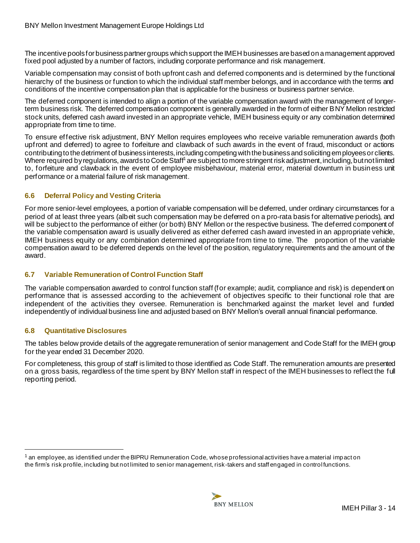The incentive pools for business partner groups which support the IMEH businesses are based on a management approved fixed pool adjusted by a number of factors, including corporate performance and risk management.

Variable compensation may consist of both upfront cash and deferred components and is determined by the functional hierarchy of the business or function to which the individual staff member belongs, and in accordance with the terms and conditions of the incentive compensation plan that is applicable for the business or business partner service.

The deferred component is intended to align a portion of the variable compensation award with the management of longerterm business risk. The deferred compensation component is generally awarded in the form of either BNY Mellon restricted stock units, deferred cash award invested in an appropriate vehicle, IMEH business equity or any combination determined appropriate from time to time.

To ensure effective risk adjustment, BNY Mellon requires employees who receive variable remuneration awards (both upfront and deferred) to agree to forfeiture and clawback of such awards in the event of fraud, misconduct or actions contributing to the detriment of business interests, including competing with the business and soliciting employees or clients. Where required by requlations, awards to Code Staff<sup>1</sup> are subject to more stringent risk adjustment, including, but not limited to, forfeiture and clawback in the event of employee misbehaviour, material error, material downturn in business unit performance or a material failure of risk management.

## <span id="page-13-0"></span>**6.6 Deferral Policy and Vesting Criteria**

For more senior-level employees, a portion of variable compensation will be deferred, under ordinary circumstances for a period of at least three years (albeit such compensation may be deferred on a pro-rata basis for alternative periods), and will be subject to the performance of either (or both) BNY Mellon or the respective business. The deferred component of the variable compensation award is usually delivered as either deferred cash award invested in an appropriate vehicle, IMEH business equity or any combination determined appropriate from time to time. The proportion of the variable compensation award to be deferred depends on the level of the position, regulatory requirements and the amount of the award.

#### <span id="page-13-1"></span>**6.7 Variable Remuneration of Control Function Staff**

The variable compensation awarded to control function staff (for example; audit, compliance and risk) is dependent on performance that is assessed according to the achievement of objectives specific to their functional role that are independent of the activities they oversee. Remuneration is benchmarked against the market level and funded independently of individual business line and adjusted based on BNY Mellon's overall annual financial performance.

#### <span id="page-13-2"></span>**6.8 Quantitative Disclosures**

The tables below provide details of the aggregate remuneration of senior management and Code Staff for the IMEH group for the year ended 31 December 2020.

<span id="page-13-3"></span>For completeness, this group of staff is limited to those identified as Code Staff. The remuneration amounts are presented on a gross basis, regardless of the time spent by BNY Mellon staff in respect of the IMEH businesses to reflect the full reporting period.

 $1$  an [employee,](https://www.handbook.fca.org.uk/handbook/glossary/G365.html) as identified under the BIPRU Remuneration Code, whose professional activities have a material impact on the [firm's](https://www.handbook.fca.org.uk/handbook/glossary/G430.html) risk profile, including but not limited to senior management, risk-takers and staff engaged in control functions.

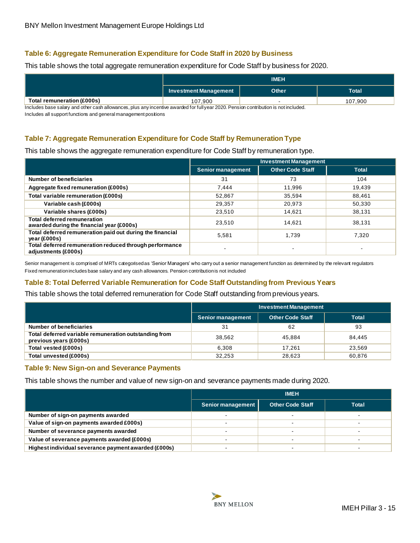## **Table 6: Aggregate Remuneration Expenditure for Code Staff in 2020 by Business**

This table shows the total aggregate remuneration expenditure for Code Staff by business for 2020.

|                            |                       | <b>IMEH</b>  |              |
|----------------------------|-----------------------|--------------|--------------|
|                            | Investment Management | <b>Other</b> | <b>Total</b> |
| Total remuneration (£000s) | 107,900               | -            | 107,900      |

Includes base salary and other cash allowances, plus any incentive awarded for full year 2020. Pension contribution is not included.

Includes all support functions and general management positions

# <span id="page-14-0"></span>**Table 7: Aggregate Remuneration Expenditure for Code Staff by Remuneration Type**

This table shows the aggregate remuneration expenditure for Code Staff by remuneration type.

|                                                                                 |                          | <b>Investment Management</b> |              |
|---------------------------------------------------------------------------------|--------------------------|------------------------------|--------------|
|                                                                                 | <b>Senior management</b> | <b>Other Code Staff</b>      | <b>Total</b> |
| Number of beneficiaries                                                         | 31                       | 73                           | 104          |
| Aggregate fixed remuneration (£000s)                                            | 7.444                    | 11,996                       | 19,439       |
| Total variable remuneration (£000s)                                             | 52,867                   | 35,594                       | 88,461       |
| Variable cash (£000s)                                                           | 29,357                   | 20,973                       | 50.330       |
| Variable shares (£000s)                                                         | 23,510                   | 14,621                       | 38,131       |
| <b>Total deferred remuneration</b><br>awarded during the financial year (£000s) | 23,510                   | 14.621                       | 38.131       |
| Total deferred remuneration paid out during the financial<br>year (£000s)       | 5.581                    | 1,739                        | 7.320        |
| Total deferred remuneration reduced through performance<br>adiustments (£000s)  | $\overline{\phantom{a}}$ | $\overline{\phantom{a}}$     |              |

Senior management is comprised of MRTs categorised as 'Senior Managers' who carry out a senior management function as determined by the relevant regulators Fixed remuneration includes base salary and any cash allowances. Pension contribution is not included

# <span id="page-14-1"></span>**Table 8: Total Deferred Variable Remuneration for Code Staff Outstanding from Previous Years**

This table shows the total deferred remuneration for Code Staff outstanding from previous years.

|                                                                                 | <b>Investment Management</b> |                         |              |  |  |
|---------------------------------------------------------------------------------|------------------------------|-------------------------|--------------|--|--|
|                                                                                 | <b>Senior management</b>     | <b>Other Code Staff</b> | <b>Total</b> |  |  |
| Number of beneficiaries                                                         | 31                           | 62                      | 93           |  |  |
| Total deferred variable remuneration outstanding from<br>previous years (£000s) | 38.562                       | 45.884                  | 84,445       |  |  |
| Total vested (£000s)                                                            | 6.308                        | 17.261                  | 23,569       |  |  |
| Total unvested (£000s)                                                          | 32.253                       | 28,623                  | 60,876       |  |  |

#### <span id="page-14-2"></span>**Table 9: New Sign-on and Severance Payments**

This table shows the number and value of new sign-on and severance payments made during 2020.

<span id="page-14-3"></span>

|                                                      | <b>IMEH</b>       |                         |              |
|------------------------------------------------------|-------------------|-------------------------|--------------|
|                                                      | Senior management | <b>Other Code Staff</b> | <b>Total</b> |
| Number of sign-on payments awarded                   |                   |                         |              |
| Value of sign-on payments awarded £000s)             |                   |                         |              |
| Number of severance payments awarded                 |                   |                         |              |
| Value of severance payments awarded (£000s)          |                   |                         |              |
| Highest individual severance payment awarded (£000s) |                   |                         |              |

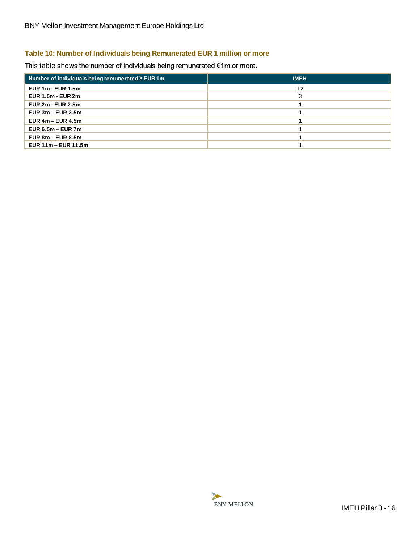# **Table 10: Number of Individuals being Remunerated EUR 1 million or more**

This table shows the number of individuals being remunerated €1m or more.

| Number of individuals being remunerated $\ge$ EUR 1 m | <b>IMEH</b> |
|-------------------------------------------------------|-------------|
| <b>EUR 1m - EUR 1.5m</b>                              | 12          |
| $EUR$ 1.5m - $EUR$ 2m                                 | 3           |
| <b>EUR 2m - EUR 2.5m</b>                              |             |
| EUR $3m - EUR$ $3.5m$                                 |             |
| EUR $4m - EUR$ 4.5m                                   |             |
| EUR $6.5m - EUR$ 7m                                   |             |
| EUR $8m$ – EUR $8.5m$                                 |             |
| EUR 11m - EUR 11.5m                                   |             |